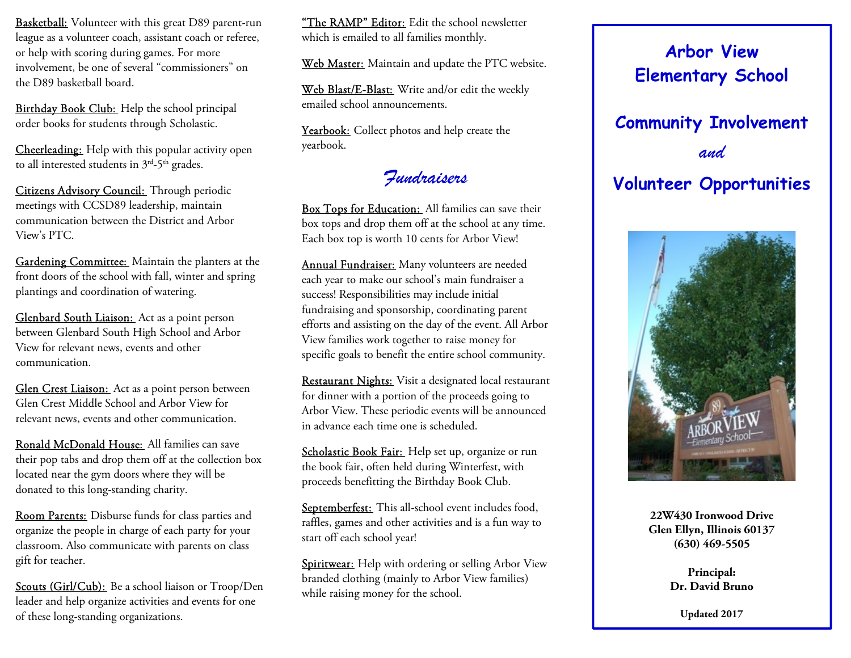**Basketball:** Volunteer with this great D89 parent-run league as a volunteer coach, assistant coach or referee, or help with scoring during games. For more involvement, be one of several "commissioners" on the D89 basketball board.

Birthday Book Club: Help the school principal order books for students through Scholastic.

Cheerleading: Help with this popular activity open to all interested students in  $3<sup>rd</sup>-5<sup>th</sup>$  grades.

Citizens Advisory Council: Through periodic meetings with CCSD89 leadership, maintain communication between the District and Arbor View's PTC.

Gardening Committee: Maintain the planters at the front doors of the school with fall, winter and spring plantings and coordination of watering.

Glenbard South Liaison: Act as a point person between Glenbard South High School and Arbor View for relevant news, events and other communication.

Glen Crest Liaison: Act as a point person between Glen Crest Middle School and Arbor View for relevant news, events and other communication.

Ronald McDonald House: All families can save their pop tabs and drop them off at the collection box located near the gym doors where they will be donated to this long-standing charity.

Room Parents: Disburse funds for class parties and organize the people in charge of each party for your classroom. Also communicate with parents on class gift for teacher.

Scouts (Girl/Cub): Be a school liaison or Troop/Den leader and help organize activities and events for one of these long-standing organizations.

"The RAMP" Editor: Edit the school newsletter which is emailed to all families monthly.

Web Master: Maintain and update the PTC website.

Web Blast/E-Blast: Write and/or edit the weekly emailed school announcements.

Yearbook: Collect photos and help create the yearbook.

## Fundraisers

Box Tops for Education: All families can save their box tops and drop them off at the school at any time. Each box top is worth 10 cents for Arbor View!

Annual Fundraiser: Many volunteers are needed each year to make our school's main fundraiser a success! Responsibilities may include initial fundraising and sponsorship, coordinating parent efforts and assisting on the day of the event. All Arbor View families work together to raise money for specific goals to benefit the entire school community.

Restaurant Nights: Visit a designated local restaurant for dinner with a portion of the proceeds going to Arbor View. These periodic events will be announced in advance each time one is scheduled.

Scholastic Book Fair: Help set up, organize or run the book fair, often held during Winterfest, with proceeds benefitting the Birthday Book Club.

Septemberfest: This all-school event includes food, raffles, games and other activities and is a fun way to start off each school year!

Spiritwear: Help with ordering or selling Arbor View branded clothing (mainly to Arbor View families) while raising money for the school.



and Volunteer Opportunities



22W430 Ironwood Drive Glen Ellyn, Illinois 60137 (630) 469-5505

> Dr. David Bruno Principal:

> > Updated 2017